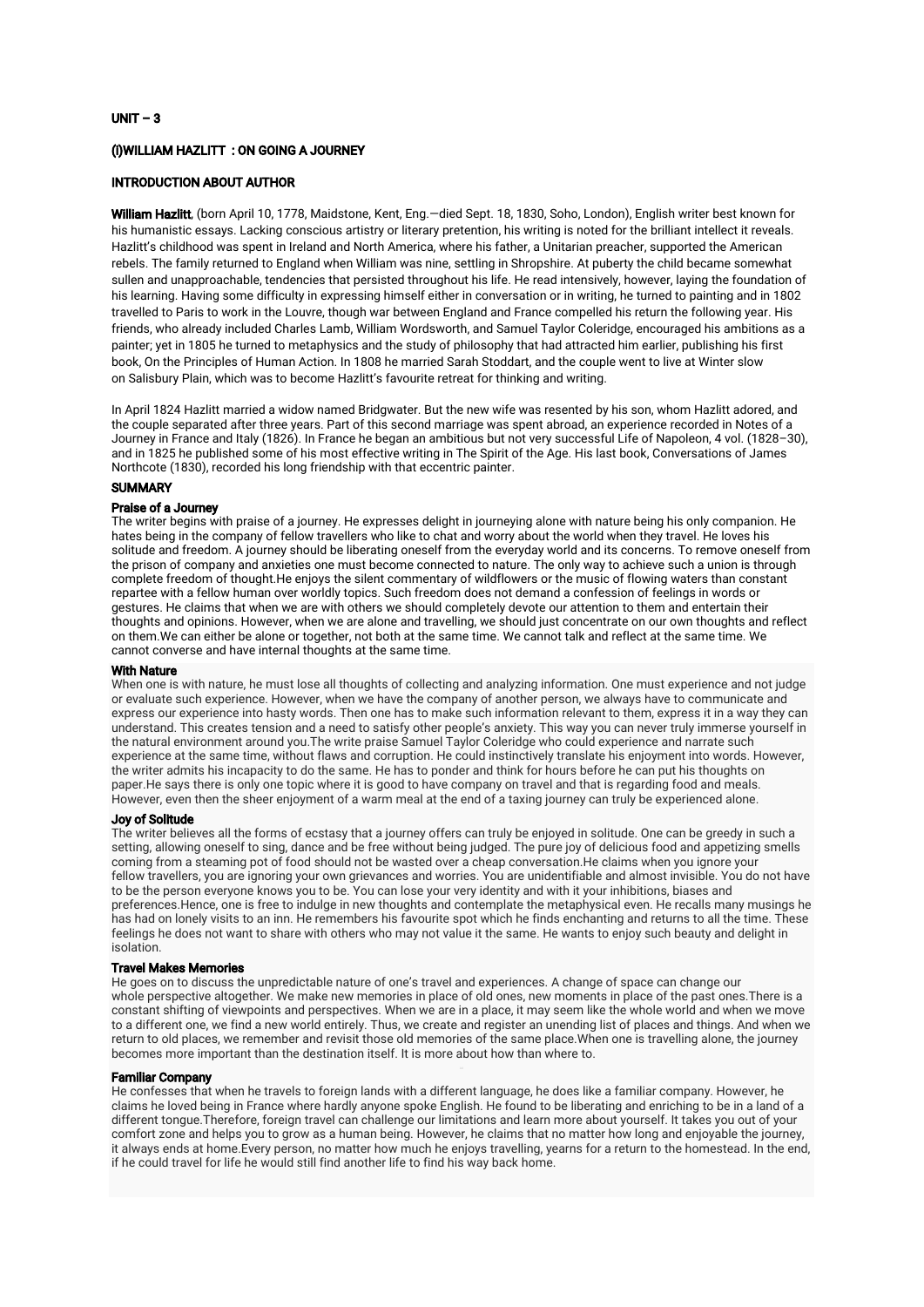# $UNIT-3$

# (i) WILLIAM HAZLITT: ON GOING A JOURNEY

# INTRODUCTION ABOUT AUTHOR

William Hazlitt, (born April 10, 1778, Maidstone, Kent, Eng. - died Sept. 18, 1830, Soho, London), English writer best known for his humanistic essays. Lacking conscious artistry or literary pretention, his writing is noted for the brilliant intellect it reveals. Hazlitt's childhood was spent in Ireland and North America, where his father, a Unitarian preacher, supported the American rebels. The family returned to England when William was nine, settling in Shropshire. At puberty the child became somewhat sullen and unapproachable, tendencies that persisted throughout his life. He read intensively, however, laying the foundation of his learning. Having some difficulty in expressing himself either in conversation or in writing, he turned to painting and in 1802 travelled to Paris to work in the Louvre, though war between England and France compelled his return the following year. His friends, who already included Charles Lamb, William Wordsworth, and Samuel Taylor Coleridge, encouraged his ambitions as a painter; yet in 1805 he turned to metaphysics and the study of philosophy that had attracted him earlier, publishing his first book, On the Principles of Human Action. In 1808 he married Sarah Stoddart, and the couple went to live at Winter slow on Salisbury Plain, which was to become Hazlitt's favourite retreat for thinking and writing.

In April 1824 Hazlitt married a widow named Bridgwater. But the new wife was resented by his son, whom Hazlitt adored, and the couple separated after three years. Part of this second marriage was spent abroad, an experience recorded in Notes of a Journey in France and Italy (1826). In France he began an ambitious but not very successful Life of Napoleon, 4 vol. (1828-30), and in 1825 he published some of his most effective writing in The Spirit of the Age. His last book, Conversations of James Northcote (1830), recorded his long friendship with that eccentric painter.

#### **SUMMARY**

## Praise of a Journey

The writer begins with praise of a journey. He expresses delight in journeying alone with nature being his only companion. He hates being in the company of fellow travellers who like to chat and worry about the world when they travel. He loves his solitude and freedom. A journey should be liberating oneself from the everyday world and its concerns. To remove oneself from the prison of company and anxieties one must become connected to nature. The only way to achieve such a union is through complete freedom of thought.He enjoys the silent commentary of wildflowers or the music of flowing waters than constant repartee with a fellow human over worldly topics. Such freedom does not demand a confession of feelings in words or gestures. He claims that when we are with others we should completely devote our attention to them and entertain their thoughts and opinions. However, when we are alone and travelling, we should just concentrate on our own thoughts and reflect on them. We can either be alone or together, not both at the same time. We cannot talk and reflect at the same time. We cannot converse and have internal thoughts at the same time.

## **With Nature**

When one is with nature, he must lose all thoughts of collecting and analyzing information. One must experience and not judge or evaluate such experience. However, when we have the company of another person, we always have to communicate and express our experience into hasty words. Then one has to make such information relevant to them, express it in a way they can understand. This creates tension and a need to satisfy other people's anxiety. This way you can never truly immerse yourself in the natural environment around you. The write praise Samuel Taylor Coleridge who could experience and narrate such experience at the same time, without flaws and corruption. He could instinctively translate his enjoyment into words. However, the writer admits his incapacity to do the same. He has to ponder and think for hours before he can put his thoughts on paper. He says there is only one topic where it is good to have company on travel and that is regarding food and meals. However, even then the sheer enjoyment of a warm meal at the end of a taxing journey can truly be experienced alone.

### JoyofSolitude

The writer believes all the forms of ecstasy that a journey offers can truly be enjoyed in solitude. One can be greedy in such a setting, allowing oneself to sing, dance and be free without being judged. The pure joy of delicious food and appetizing smells coming from a steaming pot of food should not be wasted over a cheap conversation.He claims when you janore your fellow travellers, you are ignoring your own grievances and worries. You are unidentifiable and almost invisible. You do not have to be the person everyone knows you to be. You can lose your very identity and with it your inhibitions, biases and preferences.Hence, one is free to indulge in new thoughts and contemplate the metaphysical even. He recalls many musings he has had on lonely visits to an inn. He remembers his favourite spot which he finds enchanting and returns to all the time. These feelings he does not want to share with others who may not value it the same. He wants to enjoy such beauty and delight in isolation.

## **Travel Makes Memories**

He goes on to discuss the unpredictable nature of one's travel and experiences. A change of space can change our whole perspective altogether. We make new memories in place of old ones, new moments in place of the past ones.There is a constant shifting of viewpoints and perspectives. When we are in a place, it may seem like the whole world and when we move to a different one, we find a new world entirely. Thus, we create and register an unending list of places and things. And when we return to old places, we remember and revisit those old memories of the same place.When one is travelling alone, the journey becomes more important than the destination itself. It is more about how than where to.

#### **Familiar Company**

He confesses that when he travels to foreign lands with a different language, he does like a familiar company. However, he claims he loved being in France where hardly anyone spoke English. He found to be liberating and enriching to be in a land of a different tongue.Therefore, foreign travel can challenge our limitations and learn more about yourself. It takes you out of your comfort zone and helps you to grow as a human being. However, he claims that no matter how long and enjoyable the journey, it always ends at home.Every person, no matter how much he enjoys travelling, yearns for a return to the homestead. In the end, if he could travel for life he would still find another life to find his way back home.